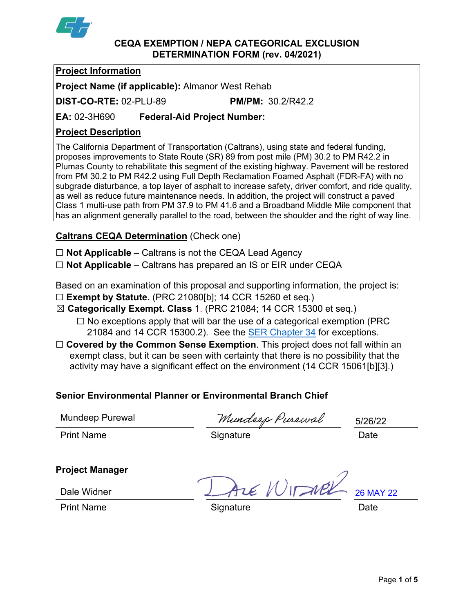

### **CEQA EXEMPTION / NEPA CATEGORICAL EXCLUSION DETERMINATION FORM (rev. 04/2021)**

# **Project Information**

**Project Name (if applicable):** Almanor West Rehab

**DIST-CO-RTE:** 02-PLU-89 **PM/PM:** 30.2/R42.2

**EA:** 02-3H690 **Federal-Aid Project Number:**

# **Project Description**

The California Department of Transportation (Caltrans), using state and federal funding, proposes improvements to State Route (SR) 89 from post mile (PM) 30.2 to PM R42.2 in Plumas County to rehabilitate this segment of the existing highway. Pavement will be restored from PM 30.2 to PM R42.2 using Full Depth Reclamation Foamed Asphalt (FDR-FA) with no subgrade disturbance, a top layer of asphalt to increase safety, driver comfort, and ride quality, as well as reduce future maintenance needs. In addition, the project will construct a paved Class 1 multi-use path from PM 37.9 to PM 41.6 and a Broadband Middle Mile component that has an alignment generally parallel to the road, between the shoulder and the right of way line.

# **Caltrans CEQA Determination** (Check one)

☐ **Not Applicable** – Caltrans is not the CEQA Lead Agency

☐ **Not Applicable** – Caltrans has prepared an IS or EIR under CEQA

Based on an examination of this proposal and supporting information, the project is:

☐ **Exempt by Statute.** (PRC 21080[b]; 14 CCR 15260 et seq.)

☒ **Categorically Exempt. Class** 1. (PRC 21084; 14 CCR 15300 et seq.)

- $\Box$  No exceptions apply that will bar the use of a categorical exemption (PRC) 21084 and 14 CCR 15300.2). See the [SER Chapter 34](https://dot.ca.gov/programs/environmental-analysis/standard-environmental-reference-ser/volume-1-guidance-for-compliance/ch-34-exemptions-to-ceqa#except) for exceptions.
- □ **Covered by the Common Sense Exemption**. This project does not fall within an exempt class, but it can be seen with certainty that there is no possibility that the activity may have a significant effect on the environment (14 CCR 15061[b][3].)

# **Senior Environmental Planner or Environmental Branch Chief**

Mundeep Purewal

Mundeep Purewal<br>Print Name **Signature** Signature Date

5/26/22

# **Project Manager**

 $P$ Print Name  $P$ rint Name  $P$ 26 MAY 22

Dale Widner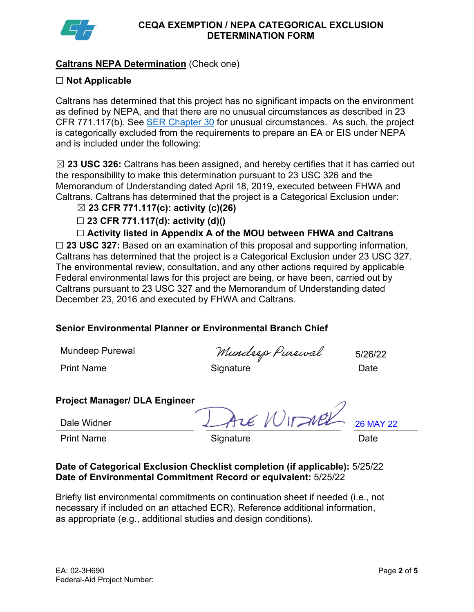

## **Caltrans NEPA Determination** (Check one)

## ☐ **Not Applicable**

Caltrans has determined that this project has no significant impacts on the environment as defined by NEPA, and that there are no unusual circumstances as described in 23 CFR 771.117(b). See [SER Chapter 30](https://dot.ca.gov/programs/environmental-analysis/standard-environmental-reference-ser/volume-1-guidance-for-compliance/ch-30-categorical-exclusions#exception) for unusual circumstances. As such, the project is categorically excluded from the requirements to prepare an EA or EIS under NEPA and is included under the following:

☒ **23 USC 326:** Caltrans has been assigned, and hereby certifies that it has carried out the responsibility to make this determination pursuant to 23 USC 326 and the Memorandum of Understanding dated April 18, 2019, executed between FHWA and Caltrans. Caltrans has determined that the project is a Categorical Exclusion under:

- ☒ **23 CFR 771.117(c): activity (c)(26)**
- ☐ **23 CFR 771.117(d): activity (d)()**

☐ **Activity listed in Appendix A of the MOU between FHWA and Caltrans**

☐ **23 USC 327:** Based on an examination of this proposal and supporting information, Caltrans has determined that the project is a Categorical Exclusion under 23 USC 327. The environmental review, consultation, and any other actions required by applicable Federal environmental laws for this project are being, or have been, carried out by Caltrans pursuant to 23 USC 327 and the Memorandum of Understanding dated December 23, 2016 and executed by FHWA and Caltrans.

## **Senior Environmental Planner or Environmental Branch Chief**

Mundeep Purewal

Mundeep Purewal Mundeep Purewal 5/26/2<br>Print Name Date

5/26/22

## **Project Manager/ DLA Engineer**

Dale Widner

Print Name **Signature Constant Constant Constant Constant Constant Constant Constant Constant Constant Constant** 

LE WITZNER

26 MAY 22

**Date of Categorical Exclusion Checklist completion (if applicable):** 5/25/22 **Date of Environmental Commitment Record or equivalent:** 5/25/22

Briefly list environmental commitments on continuation sheet if needed (i.e., not necessary if included on an attached ECR). Reference additional information, as appropriate (e.g., additional studies and design conditions).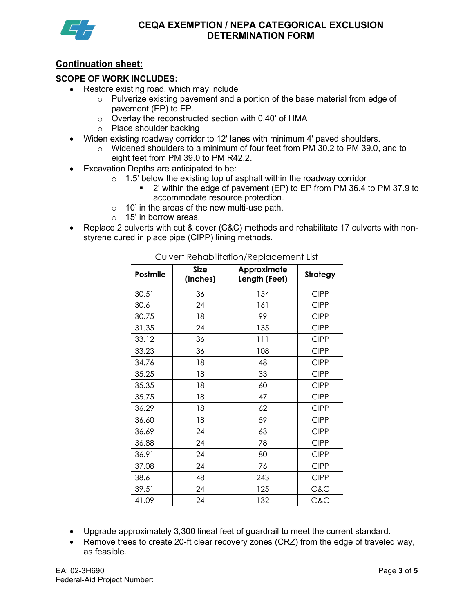

## **Continuation sheet:**

### **SCOPE OF WORK INCLUDES:**

- Restore existing road, which may include
	- o Pulverize existing pavement and a portion of the base material from edge of pavement (EP) to EP.
	- o Overlay the reconstructed section with 0.40' of HMA
	- o Place shoulder backing
- Widen existing roadway corridor to 12' lanes with minimum 4' paved shoulders.
	- $\circ$  Widened shoulders to a minimum of four feet from PM 30.2 to PM 39.0, and to eight feet from PM 39.0 to PM R42.2.
- Excavation Depths are anticipated to be:
	- $\circ$  1.5' below the existing top of asphalt within the roadway corridor
		- 2' within the edge of pavement (EP) to EP from PM 36.4 to PM 37.9 to accommodate resource protection.
	- $\circ$  10' in the areas of the new multi-use path.
	- o 15' in borrow areas.
- Replace 2 culverts with cut & cover (C&C) methods and rehabilitate 17 culverts with nonstyrene cured in place pipe (CIPP) lining methods.

| Postmile | <b>Size</b><br>(Inches) | Approximate<br>Length (Feet) | <b>Strategy</b> |
|----------|-------------------------|------------------------------|-----------------|
| 30.51    | 36                      | 154                          | <b>CIPP</b>     |
| 30.6     | 24                      | 161                          | <b>CIPP</b>     |
| 30.75    | 18                      | 99                           | <b>CIPP</b>     |
| 31.35    | 24                      | 135                          | <b>CIPP</b>     |
| 33.12    | 36                      | 111                          | <b>CIPP</b>     |
| 33.23    | 36                      | 108                          | <b>CIPP</b>     |
| 34.76    | 18                      | 48                           | <b>CIPP</b>     |
| 35.25    | 18                      | 33                           | <b>CIPP</b>     |
| 35.35    | 18                      | 60                           | <b>CIPP</b>     |
| 35.75    | 18                      | 47                           | <b>CIPP</b>     |
| 36.29    | 18                      | 62                           | <b>CIPP</b>     |
| 36.60    | 18                      | 59                           | <b>CIPP</b>     |
| 36.69    | 24                      | 63                           | <b>CIPP</b>     |
| 36.88    | 24                      | 78                           | <b>CIPP</b>     |
| 36.91    | 24                      | 80                           | <b>CIPP</b>     |
| 37.08    | 24                      | 76                           | <b>CIPP</b>     |
| 38.61    | 48                      | 243                          | <b>CIPP</b>     |
| 39.51    | 24                      | 125                          | C&C             |
| 41.09    | 24                      | 132                          | C&C             |

Culvert Rehabilitation/Replacement List

- Upgrade approximately 3,300 lineal feet of guardrail to meet the current standard.
- Remove trees to create 20-ft clear recovery zones (CRZ) from the edge of traveled way, as feasible.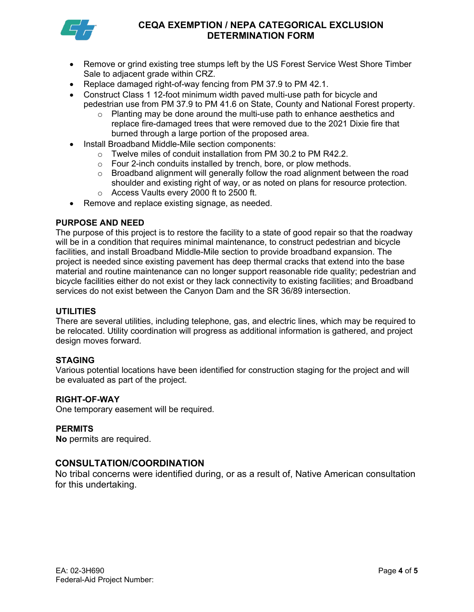

## **CEQA EXEMPTION / NEPA CATEGORICAL EXCLUSION DETERMINATION FORM**

- Remove or grind existing tree stumps left by the US Forest Service West Shore Timber Sale to adjacent grade within CRZ.
- Replace damaged right-of-way fencing from PM 37.9 to PM 42.1.
- Construct Class 1 12-foot minimum width paved multi-use path for bicycle and pedestrian use from PM 37.9 to PM 41.6 on State, County and National Forest property.
	- $\circ$  Planting may be done around the multi-use path to enhance aesthetics and replace fire-damaged trees that were removed due to the 2021 Dixie fire that burned through a large portion of the proposed area.
- Install Broadband Middle-Mile section components:
	- o Twelve miles of conduit installation from PM 30.2 to PM R42.2.
	- o Four 2-inch conduits installed by trench, bore, or plow methods.
	- $\circ$  Broadband alignment will generally follow the road alignment between the road shoulder and existing right of way, or as noted on plans for resource protection. o Access Vaults every 2000 ft to 2500 ft.
- Remove and replace existing signage, as needed.

## **PURPOSE AND NEED**

The purpose of this project is to restore the facility to a state of good repair so that the roadway will be in a condition that requires minimal maintenance, to construct pedestrian and bicycle facilities, and install Broadband Middle-Mile section to provide broadband expansion. The project is needed since existing pavement has deep thermal cracks that extend into the base material and routine maintenance can no longer support reasonable ride quality; pedestrian and bicycle facilities either do not exist or they lack connectivity to existing facilities; and Broadband services do not exist between the Canyon Dam and the SR 36/89 intersection.

#### **UTILITIES**

There are several utilities, including telephone, gas, and electric lines, which may be required to be relocated. Utility coordination will progress as additional information is gathered, and project design moves forward.

#### **STAGING**

Various potential locations have been identified for construction staging for the project and will be evaluated as part of the project.

#### **RIGHT-OF-WAY**

One temporary easement will be required.

#### **PERMITS**

**No** permits are required.

#### **CONSULTATION/COORDINATION**

No tribal concerns were identified during, or as a result of, Native American consultation for this undertaking.